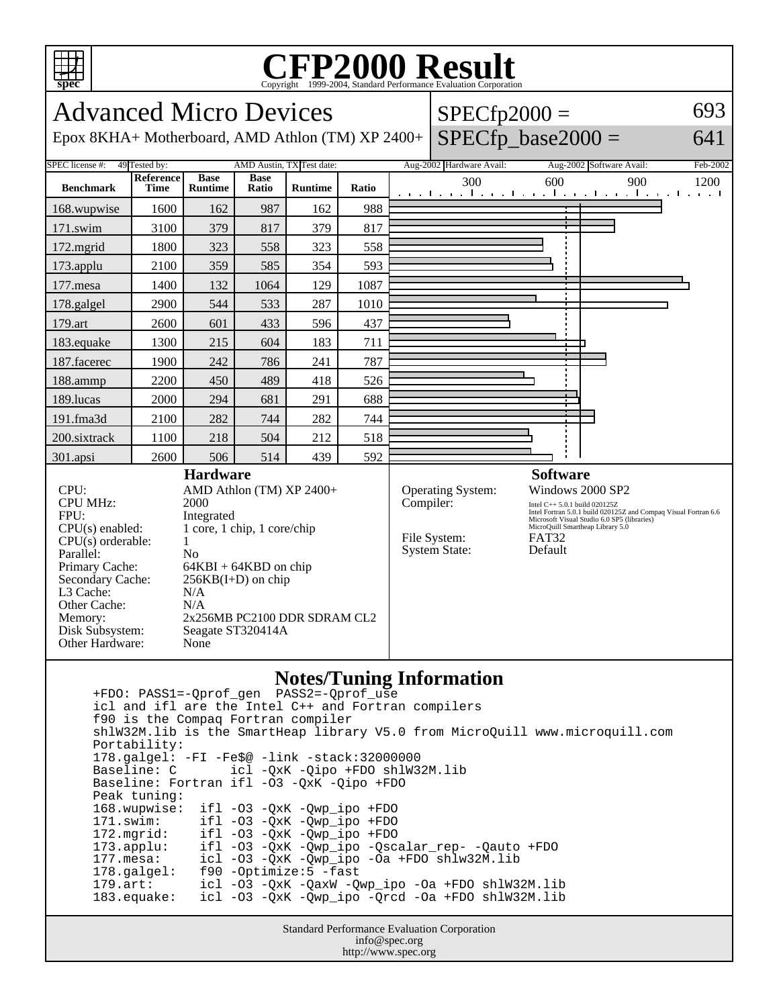

## **CFP2000 Result** Copyright 1999-2004, Standard Performance Evaluation Corporation

Advanced Micro Devices Epox 8KHA+ Motherboard, AMD Athlon (TM) XP 2400+  $SPECfp2000 =$  $SPECfp\_base2000 =$ 693 641 SPEC license #: 49 Tested by: AMD Austin, TX Test date: Aug-2002 Hardware Avail: Aug-2002 Software Avail: Feb-2002 **Benchmark Reference Time Base Runtime Base Ratio Runtime Ratio** 300 600 900 1200 168.wupwise 1600 162 987 162 988 171.swim | 3100 | 379 | 817 | 379 | 817 172.mgrid | 1800 | 323 | 558 | 323 | 558 173.applu | 2100 | 359 | 585 | 354 | 593 177.mesa | 1400 | 132 | 1064 | 129 | 1087 178.galgel | 2900 | 544 | 533 | 287 | 1010 179.art | 2600 | 601 | 433 | 596 | 437 183.equake 1300 215 604 183 711 187.facerec | 1900 | 242 | 786 | 241 | 787 188.ammp | 2200 | 450 | 489 | 418 | 526 189.lucas | 2000 | 294 | 681 | 291 | 688 191.fma3d 2100 282 744 282 744 200.sixtrack 1100 218 504 212 518 301.apsi 2600 506 514 439 592 **Hardware** CPU: AMD Athlon (TM) XP 2400+ CPU MHz: 2000 FPU: Integrated CPU(s) enabled: 1 core, 1 chip, 1 core/chip  $CPU(s)$  orderable:  $1$ Parallel: No Primary Cache: 64KBI + 64KBD on chip Secondary Cache:  $256KB(I+D)$  on chip L3 Cache: N/A Other Cache: N/A Memory: 2x256MB PC2100 DDR SDRAM CL2 Disk Subsystem: Seagate ST320414A Other Hardware: None **Software** Operating System: Windows 2000 SP2 Compiler: Intel C++ 5.0.1 build 020125Z Intel Fortran 5.0.1 build 020125Z and Compaq Visual Fortran 6.6 Microsoft Visual Studio 6.0 SP5 (libraries) MicroQuill Smartheap Library 5.0 File System: FAT32<br>System State: Default System State: **Notes/Tuning Information**

 +FDO: PASS1=-Qprof\_gen PASS2=-Qprof\_use icl and ifl are the Intel C++ and Fortran compilers f90 is the Compaq Fortran compiler shlW32M.lib is the SmartHeap library V5.0 from MicroQuill www.microquill.com Portability: 178.galgel: -FI -Fe\$@ -link -stack:32000000 icl -QxK -Qipo +FDO shlW32M.lib Baseline: Fortran ifl -O3 -QxK -Qipo +FDO Peak tuning: 168.wupwise: ifl -O3 -QxK -Qwp\_ipo +FDO 171.swim: ifl -O3 -QxK -Qwp\_ipo +FDO<br>172.mgrid: ifl -O3 -QxK -Qwp\_ipo +FDO 172.mgrid: ifl -O3 -QxK -Qwp\_ipo +FDO 173.applu: ifl -O3 -QxK -Qwp\_ipo -Qscalar\_rep- -Qauto +FDO icl -O3 -QxK -Qwp\_ipo -Oa +FDO shlw32M.lib 178.galgel: f90 -Optimize:5 -fast 179.art: icl -O3 -QxK -QaxW -Qwp\_ipo -Oa +FDO shlW32M.lib 183.equake: icl -O3 -QxK -Qwp\_ipo -Qrcd -Oa +FDO shlW32M.lib

Standard Performance Evaluation Corporation info@spec.org http://www.spec.org